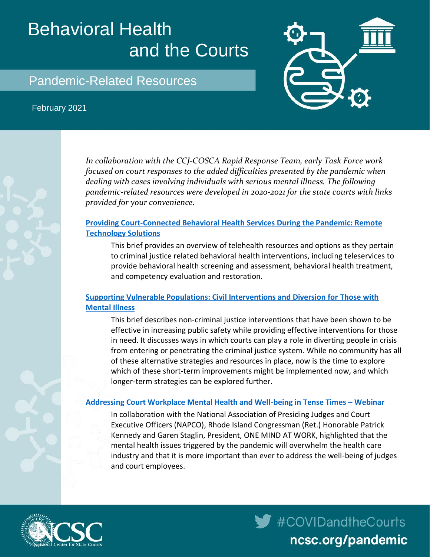# Behavioral Health and the Courts



#### February 2021





*In collaboration with the CCJ-COSCA Rapid Response Team, early Task Force work focused on court responses to the added difficulties presented by the pandemic when dealing with cases involving individuals with serious mental illness. The following pandemic-related resources were developed in 2020-2021 for the state courts with links provided for your convenience.*

## **[Providing Court-Connected Behavioral Health Services During the Pandemic: Remote](https://www.ncsc.org/__data/assets/pdf_file/0014/42314/Behavioral-Health-Resources.pdf)  [Technology Solutions](https://www.ncsc.org/__data/assets/pdf_file/0014/42314/Behavioral-Health-Resources.pdf)**

This brief provides an overview of telehealth resources and options as they pertain to criminal justice related behavioral health interventions, including teleservices to provide behavioral health screening and assessment, behavioral health treatment, and competency evaluation and restoration.

## **[Supporting Vulnerable Populations: Civil Interventions and Diversion for Those with](https://www.ncsc.org/__data/assets/pdf_file/0018/51525/Pandemic-Civil-options-and-diversion-clean.pdf)  [Mental Illness](https://www.ncsc.org/__data/assets/pdf_file/0018/51525/Pandemic-Civil-options-and-diversion-clean.pdf)**

This brief describes non-criminal justice interventions that have been shown to be effective in increasing public safety while providing effective interventions for those in need. It discusses ways in which courts can play a role in diverting people in crisis from entering or penetrating the criminal justice system. While no community has all of these alternative strategies and resources in place, now is the time to explore which of these short-term improvements might be implemented now, and which longer-term strategies can be explored further.

#### **[Addressing Court Workplace Mental Health and Well-being in Tense Times](https://nationalcenterforstatecourts.box.com/s/2pkrjbprcwmz0zt2zbk4k8kx1qzy3088) – Webinar**

In collaboration with the National Association of Presiding Judges and Court Executive Officers (NAPCO), Rhode Island Congressman (Ret.) Honorable Patrick Kennedy and Garen Staglin, President, ONE MIND AT WORK, highlighted that the mental health issues triggered by the pandemic will overwhelm the health care industry and that it is more important than ever to address the well-being of judges and court employees.



 $\blacktriangleright$  #COVIDandtheCourts ncsc.org/pandemic